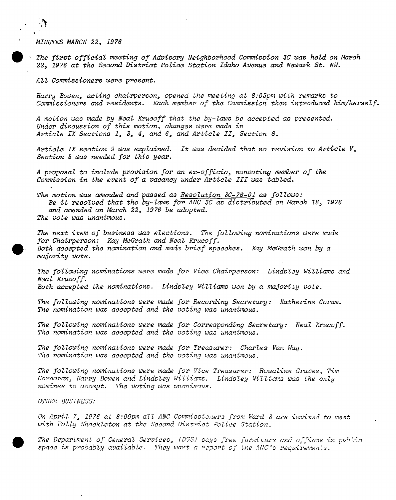MINUTES MARCH 22, 1976

 $\ddot{\cdot}$ 

The first official meeting of Advisory Neighborhood Commission 3C was held on March 22, <sup>1976</sup> at the Second District Police Station Idaho Avenue and Newark St. NW.

All Commissioners were present.

Harry Bowen, acting chairperson, opened the meeting at 8:05pm with remarks to Commissioners and residents. Each member of the Commission then introduced him/herself.

<sup>A</sup> motion was made by Neal Krucoff that the by-laws be accepted as presented. Under discussion of this motion, changes were made in Article IX Sections 1, 3, 4, and 6, and Article II, Section 8.

Article IX section <sup>9</sup> was explained. It was decided that no revision to Article V, Section <sup>5</sup> was needed for this year.

<sup>A</sup> proposal to include provision for an ex-officio, nonvoting member of the Commission in the event of a vacancy under Article III was tabled.

The motion was amended and passed as Resolution  $3C-76-01$  as follows: Be it resolved that the  $by$ -laws for ANC 3C as distributed on March 18, 1976 and amended on March 22, 1976 be adopted. The vote was unanimous.

The next item of business was elections. The following nominations were made for Chairperson: Kay McGrath and Neal Krucoff. Both accepted the nomination and made brief speeches. Kay McGrath won by a majority vote.

The following nominations were made for Vice Chairperson: Lindsley Williams and Neal Krucoff. Both accepted the nominations. Lindsley Williams won by a majority vote.

The following nominations were made for Recording Secretary: Katherine Coram. The nomination was accepted and the voting was unanimous.

The following nominations were made for Corresponding Secretary: Neal Krucoff. The nomination was accepted and the voting was unanimous.

The following nominations were made for Treasurer: Charles Van Way. The nomination was accepted and the voting was unanimous.

The following nominations were made for Vice Treasurer: Rosaline Graves, Tim Corcoran, Harry Bowen and Lindsley Williams. Lindsley Williams was the only nominee to accept. The voting was unanimous.

OTHER BUSINESS:

On April 7, <sup>1976</sup> at 8:00pm all ANC Commissioners from Ward <sup>3</sup> are invited to meet with Polly Shackleton at the Second District Police Station.

The Department of General Services, (DGS) says free furniture and offices in public space is probably available. They want a report of the ANC's requirements.